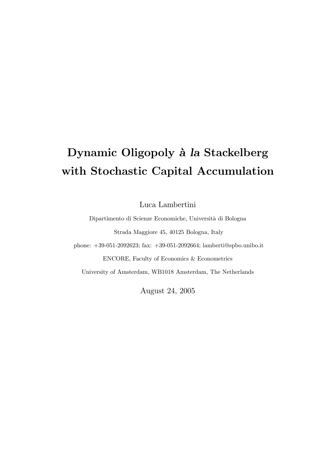# Dynamic Oligopoly à la Stackelberg with Stochastic Capital Accumulation

Luca Lambertini

Dipartimento di Scienze Economiche, Università di Bologna Strada Maggiore 45, 40125 Bologna, Italy phone: +39-051-2092623; fax: +39-051-2092664; lamberti@spbo.unibo.it ENCORE, Faculty of Economics & Econometrics University of Amsterdam, WB1018 Amsterdam, The Netherlands

August 24, 2005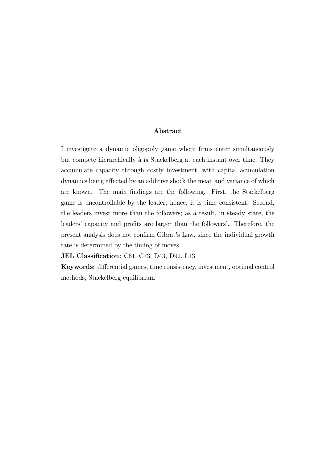#### Abstract

I investigate a dynamic oligopoly game where firms enter simultaneously but compete hierarchically à la Stackelberg at each instant over time. They accumulate capacity through costly investment, with capital acumulation dynamics being affected by an additive shock the mean and variance of which are known. The main findings are the following. First, the Stackelberg game is uncontrollable by the leader; hence, it is time consistent. Second, the leaders invest more than the followers; as a result, in steady state, the leaders' capacity and profits are larger than the followers'. Therefore, the present analysis does not confirm Gibrat's Law, since the individual growth rate is determined by the timing of moves.

JEL Classification: C61, C73, D43, D92, L13

Keywords: differential games, time consistency, investment, optimal control methods, Stackelberg equilibrium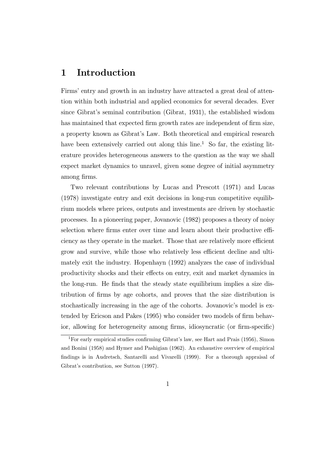#### 1 Introduction

Firms' entry and growth in an industry have attracted a great deal of attention within both industrial and applied economics for several decades. Ever since Gibrat's seminal contribution (Gibrat, 1931), the established wisdom has maintained that expected firm growth rates are independent of firm size, a property known as Gibrat's Law. Both theoretical and empirical research have been extensively carried out along this line.<sup>1</sup> So far, the existing literature provides heterogeneous answers to the question as the way we shall expect market dynamics to unravel, given some degree of initial asymmetry among firms.

Two relevant contributions by Lucas and Prescott (1971) and Lucas (1978) investigate entry and exit decisions in long-run competitive equilibrium models where prices, outputs and investments are driven by stochastic processes. In a pioneering paper, Jovanovic (1982) proposes a theory of noisy selection where firms enter over time and learn about their productive efficiency as they operate in the market. Those that are relatively more efficient grow and survive, while those who relatively less efficient decline and ultimately exit the industry. Hopenhayn (1992) analyzes the case of individual productivity shocks and their effects on entry, exit and market dynamics in the long-run. He finds that the steady state equilibrium implies a size distribution of firms by age cohorts, and proves that the size distribution is stochastically increasing in the age of the cohorts. Jovanovic's model is extended by Ericson and Pakes (1995) who consider two models of firm behavior, allowing for heterogeneity among firms, idiosyncratic (or firm-specific)

<sup>1</sup>For early empirical studies confirming Gibrat's law, see Hart and Prais (1956), Simon and Bonini (1958) and Hymer and Pashigian (1962). An exhaustive overview of empirical findings is in Audretsch, Santarelli and Vivarelli (1999). For a thorough appraisal of Gibrat's contribution, see Sutton (1997).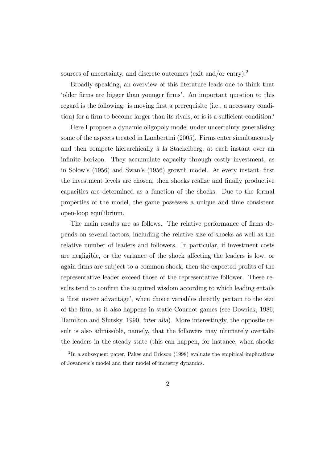sources of uncertainty, and discrete outcomes (exit and/or entry).<sup>2</sup>

Broadly speaking, an overview of this literature leads one to think that 'older firms are bigger than younger firms'. An important question to this regard is the following: is moving first a prerequisite (i.e., a necessary condition) for a firm to become larger than its rivals, or is it a sufficient condition?

Here I propose a dynamic oligopoly model under uncertainty generalising some of the aspects treated in Lambertini (2005). Firms enter simultaneously and then compete hierarchically  $\dot{a}$  la Stackelberg, at each instant over an infinite horizon. They accumulate capacity through costly investment, as in Solow's (1956) and Swan's (1956) growth model. At every instant, first the investment levels are chosen, then shocks realize and finally productive capacities are determined as a function of the shocks. Due to the formal properties of the model, the game possesses a unique and time consistent open-loop equilibrium.

The main results are as follows. The relative performance of firms depends on several factors, including the relative size of shocks as well as the relative number of leaders and followers. In particular, if investment costs are negligible, or the variance of the shock affecting the leaders is low, or again firms are subject to a common shock, then the expected profits of the representative leader exceed those of the representative follower. These results tend to confirm the acquired wisdom according to which leading entails a 'first mover advantage', when choice variables directly pertain to the size of the firm, as it also happens in static Cournot games (see Dowrick, 1986; Hamilton and Slutsky, 1990, inter alia). More interestingly, the opposite result is also admissible, namely, that the followers may ultimately overtake the leaders in the steady state (this can happen, for instance, when shocks

<sup>&</sup>lt;sup>2</sup>In a subsequent paper, Pakes and Ericson (1998) evaluate the empirical implications of Jovanovic's model and their model of industry dynamics.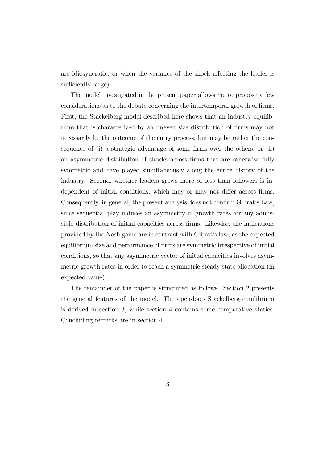are idiosyncratic, or when the variance of the shock affecting the leader is sufficiently large).

The model investigated in the present paper allows me to propose a few considerations as to the debate concerning the intertemporal growth of firms. First, the Stackelberg model described here shows that an industry equilibrium that is characterized by an uneven size distribution of firms may not necessarily be the outcome of the entry process, but may be rather the consequence of (i) a strategic advantage of some firms over the others, or (ii) an asymmetric distribution of shocks across firms that are otherwise fully symmetric and have played simultaneously along the entire history of the industry. Second, whether leaders grows more or less than followers is independent of initial conditions, which may or may not differ across firms. Consequently, in general, the present analysis does not confirm Gibrat's Law, since sequential play induces an asymmetry in growth rates for any admissible distribution of initial capacities across firms. Likewise, the indications provided by the Nash game are in contrast with Gibrat's law, as the expected equilibrium size and performance of firms are symmetric irrespective of initial conditions, so that any asymmetric vector of initial capacities involves asymmetric growth rates in order to reach a symmetric steady state allocation (in expected value).

The remainder of the paper is structured as follows. Section 2 presents the general features of the model. The open-loop Stackelberg equilibrium is derived in section 3, while section 4 contains some comparative statics. Concluding remarks are in section 4.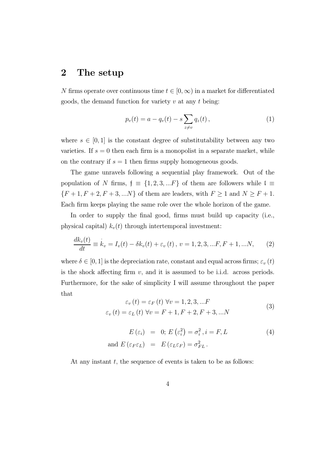### 2 The setup

N firms operate over continuous time  $t \in [0, \infty)$  in a market for differentiated goods, the demand function for variety  $v$  at any  $t$  being:

$$
p_v(t) = a - q_v(t) - s \sum_{z \neq v} q_z(t) , \qquad (1)
$$

where  $s \in [0,1]$  is the constant degree of substitutability between any two varieties. If  $s = 0$  then each firm is a monopolist in a separate market, while on the contrary if  $s = 1$  then firms supply homogeneous goods.

The game unravels following a sequential play framework. Out of the population of N firms,  $\mathfrak{f} \equiv \{1, 2, 3, ... F\}$  of them are followers while  $\mathfrak{l} \equiv$  $\{F+1,F+2,F+3,...N\}$  of them are leaders, with  $F\geq 1$  and  $N\geq F+1.$ Each firm keeps playing the same role over the whole horizon of the game.

In order to supply the final good, firms must build up capacity (i.e., physical capital)  $k_v(t)$  through intertemporal investment:

$$
\frac{dk_v(t)}{dt} \equiv k_v = I_v(t) - \delta k_v(t) + \varepsilon_v(t), \ v = 1, 2, 3, ... F, F + 1, ... N,
$$
 (2)

where  $\delta \in [0,1]$  is the depreciation rate, constant and equal across firms;  $\varepsilon_v(t)$ is the shock affecting firm  $v$ , and it is assumed to be i.i.d. across periods. Furthermore, for the sake of simplicity I will assume throughout the paper that

$$
\varepsilon_v(t) = \varepsilon_F(t) \,\forall v = 1, 2, 3, \dots F
$$
  

$$
\varepsilon_v(t) = \varepsilon_L(t) \,\forall v = F + 1, F + 2, F + 3, \dots N
$$
 (3)

$$
E(\varepsilon_i) = 0; E(\varepsilon_i^2) = \sigma_i^2, i = F, L
$$
  
and 
$$
E(\varepsilon_F \varepsilon_L) = E(\varepsilon_L \varepsilon_F) = \sigma_{FL}^2.
$$
 (4)

At any instant  $t$ , the sequence of events is taken to be as follows: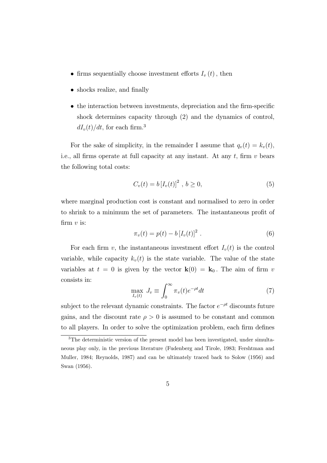- firms sequentially choose investment efforts  $I_v(t)$ , then
- shocks realize, and finally
- the interaction between investments, depreciation and the firm-specific shock determines capacity through (2) and the dynamics of control,  $dI_v(t)/dt$ , for each firm.<sup>3</sup>

For the sake of simplicity, in the remainder I assume that  $q_v(t) = k_v(t)$ , i.e., all firms operate at full capacity at any instant. At any  $t$ , firm  $v$  bears the following total costs:

$$
C_v(t) = b [I_v(t)]^2, b \ge 0,
$$
\n(5)

where marginal production cost is constant and normalised to zero in order to shrink to a minimum the set of parameters. The instantaneous profit of firm  $v$  is:

$$
\pi_v(t) = p(t) - b \left[ I_v(t) \right]^2 \,. \tag{6}
$$

For each firm v, the instantaneous investment effort  $I_v(t)$  is the control variable, while capacity  $k_v(t)$  is the state variable. The value of the state variables at  $t = 0$  is given by the vector  $\mathbf{k}(0) = \mathbf{k}_0$ . The aim of firm v consists in:

$$
\max_{I_v(t)} J_v \equiv \int_0^\infty \pi_v(t)e^{-\rho t}dt \tag{7}
$$

subject to the relevant dynamic constraints. The factor  $e^{-\rho t}$  discounts future gains, and the discount rate  $\rho > 0$  is assumed to be constant and common to all players. In order to solve the optimization problem, each firm defines

<sup>3</sup>The deterministic version of the present model has been investigated, under simultaneous play only, in the previous literature (Fudenberg and Tirole, 1983; Fershtman and Muller, 1984; Reynolds, 1987) and can be ultimately traced back to Solow (1956) and Swan (1956).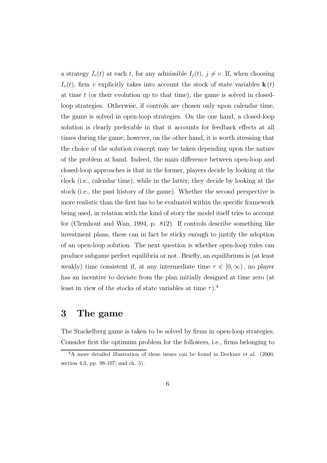a strategy  $I_v(t)$  at each t, for any admissible  $I_j(t)$ ,  $j \neq v$ . If, when choosing  $I_{\nu}(t)$ , firm v explicitly takes into account the stock of state variables  $\mathbf{k}(t)$ at time  $t$  (or their evolution up to that time), the game is solved in closedloop strategies. Otherwise, if controls are chosen only upon calendar time, the game is solved in open-loop strategies. On the one hand, a closed-loop solution is clearly preferable in that it accounts for feedback effects at all times during the game; however, on the other hand, it is worth stressing that the choice of the solution concept may be taken depending upon the nature of the problem at hand. Indeed, the main difference between open-loop and closed-loop approaches is that in the former, players decide by looking at the clock (i.e., calendar time), while in the latter, they decide by looking at the stock (i.e., the past history of the game). Whether the second perspective is more realistic than the first has to be evaluated within the specific framework being used, in relation with the kind of story the model itself tries to account for (Clemhout and Wan, 1994, p. 812). If controls describe something like investment plans, these can in fact be sticky enough to justify the adoption of an open-loop solution. The next question is whether open-loop rules can produce subgame perfect equilibria or not. Briefly, an equilibrium is (at least weakly) time consistent if, at any intermediate time  $\tau \in [0,\infty)$ , no player has an incentive to deviate from the plan initially designed at time zero (at least in view of the stocks of state variables at time  $\tau$ ).<sup>4</sup>

### 3 The game

The Stackelberg game is taken to be solved by firms in open-loop strategies. Consider first the optimum problem for the followers, i.e., firms belonging to

<sup>4</sup>A more detailed illustration of these issues can be found in Dockner et al. (2000, section 4.3, pp. 98-107; and ch. 5).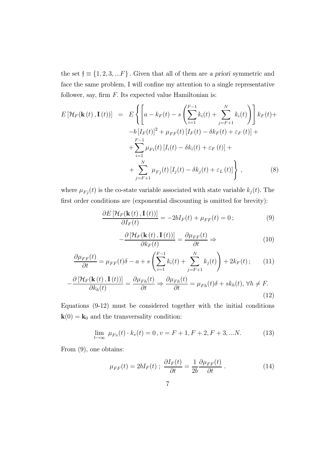the set  $\mathfrak{f} \equiv \{1, 2, 3, ... F\}$ . Given that all of them are a priori symmetric and face the same problem, I will confine my attention to a single representative follower, say, firm  $F$ . Its expected value Hamiltonian is:

$$
E\left[\mathcal{H}_F(\mathbf{k}(t),\mathbf{I}(t))\right] = E\left\{\left[a - k_F(t) - s\left(\sum_{i=1}^{F-1} k_i(t) + \sum_{j=F+1}^N k_i(t)\right)\right]k_F(t) + \right.-b\left[I_F(t)\right]^2 + \mu_{FF}(t)\left[I_F(t) - \delta k_F(t) + \varepsilon_F(t)\right] + \left.\right.+ \sum_{i=1}^{F-1} \mu_{Fi}(t)\left[I_i(t) - \delta k_i(t) + \varepsilon_F(t)\right] + \left.\right.+ \sum_{j=F+1}^N \mu_{Fj}(t)\left[I_j(t) - \delta k_j(t) + \varepsilon_L(t)\right]\right\},
$$
\n(8)

where  $\mu_{Fj}(t)$  is the co-state variable associated with state variable  $k_j(t)$ . The first order conditions are (exponential discounting is omitted for brevity):

$$
\frac{\partial E\left[\mathcal{H}_F(\mathbf{k}(t), \mathbf{I}(t))\right]}{\partial I_F(t)} = -2bI_F(t) + \mu_{FF}(t) = 0; \tag{9}
$$

$$
-\frac{\partial \left[\mathcal{H}_F(\mathbf{k}(t), \mathbf{I}(t))\right]}{\partial k_F(t)} = \frac{\partial \mu_{FF}(t)}{\partial t} \Rightarrow
$$
 (10)

$$
\frac{\partial \mu_{FF}(t)}{\partial t} = \mu_{FF}(t)\delta - a + s \left( \sum_{i=1}^{F-1} k_i(t) + \sum_{j=F+1}^{N} k_j(t) \right) + 2k_F(t) ; \quad (11)
$$

$$
-\frac{\partial \left[\mathcal{H}_F(\mathbf{k}(t), \mathbf{I}(t))\right]}{\partial k_h(t)} = \frac{\partial \mu_{Fh}(t)}{\partial t} \Rightarrow \frac{\partial \mu_{Fh}(t)}{\partial t} = \mu_{Fh}(t)\delta + sk_h(t), \forall h \neq F.
$$
\n(12)

Equations (9-12) must be considered together with the initial conditions  $\mathbf{k}(0) = \mathbf{k}_0$  and the transversality condition:

$$
\lim_{t \to \infty} \mu_{Fv}(t) \cdot k_v(t) = 0, v = F + 1, F + 2, F + 3, \dots N. \tag{13}
$$

From (9), one obtains:

$$
\mu_{FF}(t) = 2bI_F(t) \; ; \; \frac{\partial I_F(t)}{\partial t} = \frac{1}{2b} \frac{\partial \mu_{FF}(t)}{\partial t} \; . \tag{14}
$$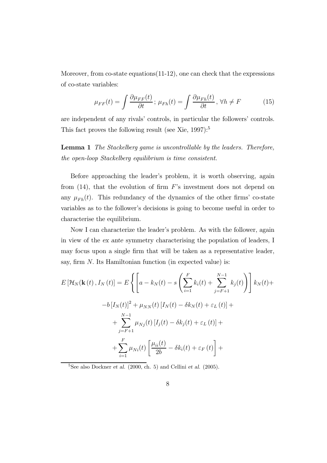Moreover, from co-state equations  $(11-12)$ , one can check that the expressions of co-state variables:

$$
\mu_{FF}(t) = \int \frac{\partial \mu_{FF}(t)}{\partial t}; \ \mu_{Fh}(t) = \int \frac{\partial \mu_{Fh}(t)}{\partial t}, \ \forall h \neq F \tag{15}
$$

are independent of any rivals' controls, in particular the followers' controls. This fact proves the following result (see Xie,  $1997$ ):<sup>5</sup>

Lemma 1 The Stackelberg game is uncontrollable by the leaders. Therefore, the open-loop Stackelberg equilibrium is time consistent.

Before approaching the leader's problem, it is worth observing, again from  $(14)$ , that the evolution of firm F's investment does not depend on any  $\mu_{Fh}(t)$ . This redundancy of the dynamics of the other firms' co-state variables as to the follower's decisions is going to become useful in order to characterise the equilibrium.

Now I can characterize the leader's problem. As with the follower, again in view of the ex ante symmetry characterising the population of leaders, I may focus upon a single firm that will be taken as a representative leader, say, firm N. Its Hamiltonian function (in expected value) is:

$$
E\left[\mathcal{H}_{N}(\mathbf{k}(t), I_{N}(t))\right] = E\left\{\left[a - k_{N}(t) - s\left(\sum_{i=1}^{F} k_{i}(t) + \sum_{j=F+1}^{N-1} k_{j}(t)\right)\right]k_{N}(t) +-b\left[I_{N}(t)\right]^{2} + \mu_{NN}(t)\left[I_{N}(t) - \delta k_{N}(t) + \varepsilon_{L}(t)\right] ++ \sum_{j=F+1}^{N-1} \mu_{Nj}(t)\left[I_{j}(t) - \delta k_{j}(t) + \varepsilon_{L}(t)\right] ++ \sum_{i=1}^{F} \mu_{Ni}(t)\left[\frac{\mu_{ii}(t)}{2b} - \delta k_{i}(t) + \varepsilon_{F}(t)\right] +
$$

 ${}^{5}$ See also Dockner et al. (2000, ch. 5) and Cellini et al. (2005).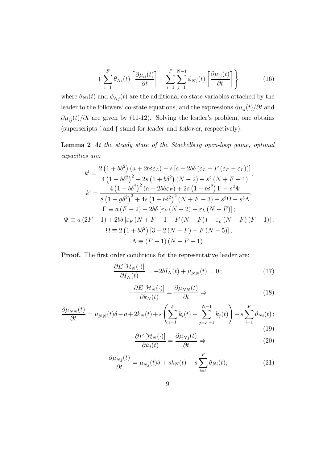$$
+\sum_{i=1}^{F} \theta_{Ni}(t) \left[ \frac{\partial \mu_{ii}(t)}{\partial t} \right] + \sum_{i=1}^{F} \sum_{j=1}^{N-1} \phi_{Nj}(t) \left[ \frac{\partial \mu_{ij}(t)}{\partial t} \right] \Bigg\}
$$
(16)

where  $\theta_{Ni}(t)$  and  $\phi_{Nj}(t)$  are the additional co-state variables attached by the leader to the followers' co-state equations, and the expressions  $\partial \mu_{ii}(t)/\partial t$  and  $\partial \mu_{ij}(t)/\partial t$  are given by (11-12). Solving the leader's problem, one obtains (superscripts I and f stand for leader and follower, respectively):

Lemma 2 At the steady state of the Stackelberg open-loop game, optimal capacities are:

$$
k^{I} = \frac{2(1+b\delta^{2})(a+2b\delta\epsilon_{L}) - s[a+2b\delta(\epsilon_{L}+F(\epsilon_{F}-\epsilon_{L}))]}{4(1+b\delta^{2})^{2}+2s(1+b\delta^{2})(N-2)-s^{2}(N+F-1)},
$$
  
\n
$$
k^{f} = \frac{4(1+b\delta^{2})^{2}(a+2b\delta\epsilon_{F}) + 2s(1+b\delta^{2})\Gamma - s^{2}\Psi}{8(1+g\delta^{2})^{3}+4s(1+b\delta^{2})^{2}(N+F-3)+s^{2}\Omega - s^{3}\Lambda},
$$
  
\n
$$
\Gamma \equiv a(F-2)+2b\delta[\epsilon_{F}(N-2)-\epsilon_{L}(N-F)];
$$
  
\n
$$
\Psi \equiv a(2F-1)+2b\delta[\epsilon_{F}(N+F-1-F(N-F))-\epsilon_{L}(N-F)(F-1)];
$$
  
\n
$$
\Omega \equiv 2(1+b\delta^{2})[3-2(N-F)+F(N-5)];
$$
  
\n
$$
\Lambda \equiv (F-1)(N+F-1).
$$

Proof. The first order conditions for the representative leader are:

$$
\frac{\partial E\left[\mathcal{H}_N(\cdot)\right]}{\partial I_N(t)} = -2bI_N(t) + \mu_{NN}(t) = 0 \, ; \tag{17}
$$

$$
-\frac{\partial E\left[\mathcal{H}_N(\cdot)\right]}{\partial k_N(t)} = \frac{\partial \mu_{NN}(t)}{\partial t} \Rightarrow
$$
\n(18)

$$
\frac{\partial \mu_{NN}(t)}{\partial t} = \mu_{NN}(t)\delta - a + 2k_N(t) + s \left( \sum_{i=1}^F k_i(t) + \sum_{j=F+1}^{N-1} k_j(t) \right) - s \sum_{i=1}^F \theta_{Ni}(t) ; \tag{19}
$$

$$
-\frac{\partial E\left[\mathcal{H}_N(\cdot)\right]}{\partial k_j(t)} = \frac{\partial \mu_{Nj}(t)}{\partial t} \Rightarrow
$$
\n(20)

$$
\frac{\partial \mu_{Nj}(t)}{\partial t} = \mu_{Nj}(t)\delta + sk_N(t) - s \sum_{i=1}^{F} \theta_{Ni}(t); \tag{21}
$$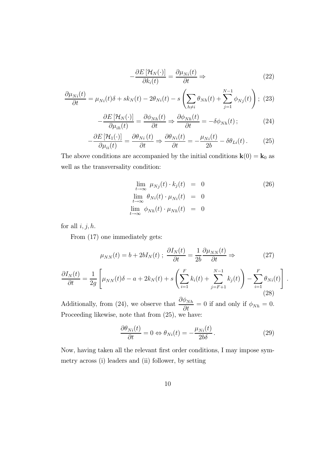$$
-\frac{\partial E\left[\mathcal{H}_N(\cdot)\right]}{\partial k_i(t)} = \frac{\partial \mu_{Ni}(t)}{\partial t} \Rightarrow \tag{22}
$$

$$
\frac{\partial \mu_{Ni}(t)}{\partial t} = \mu_{Ni}(t)\delta + sk_N(t) - 2\theta_{Ni}(t) - s\left(\sum_{h \neq i} \theta_{Nh}(t) + \sum_{j=1}^{N-1} \phi_{Nj}(t)\right); \tag{23}
$$

$$
-\frac{\partial E\left[\mathcal{H}_N(\cdot)\right]}{\partial \mu_{ih}(t)} = \frac{\partial \phi_{Nh}(t)}{\partial t} \Rightarrow \frac{\partial \phi_{Nh}(t)}{\partial t} = -\delta \phi_{Nh}(t) ; \tag{24}
$$

$$
-\frac{\partial E\left[\mathcal{H}_1(\cdot)\right]}{\partial \mu_{ii}(t)} = \frac{\partial \theta_{Ni}(t)}{\partial t} \Rightarrow \frac{\partial \theta_{Ni}(t)}{\partial t} = -\frac{\mu_{Ni}(t)}{2b} - \delta \theta_{Li}(t). \tag{25}
$$

The above conditions are accompanied by the initial conditions  $\mathbf{k}(0) = \mathbf{k}_0$  as well as the transversality condition:

$$
\lim_{t \to \infty} \mu_{Nj}(t) \cdot k_j(t) = 0
$$
\n
$$
\lim_{t \to \infty} \theta_{Ni}(t) \cdot \mu_{Ni}(t) = 0
$$
\n
$$
\lim_{t \to \infty} \phi_{Nh}(t) \cdot \mu_{Nh}(t) = 0
$$
\n(26)

for all  $i, j, h$ .

From (17) one immediately gets:

$$
\mu_{NN}(t) = b + 2bI_N(t) \; ; \; \frac{\partial I_N(t)}{\partial t} = \frac{1}{2b} \frac{\partial \mu_{NN}(t)}{\partial t} \Rightarrow \tag{27}
$$

$$
\frac{\partial I_N(t)}{\partial t} = \frac{1}{2g} \left[ \mu_{NN}(t)\delta - a + 2k_N(t) + s \left( \sum_{i=1}^F k_i(t) + \sum_{j=F+1}^{N-1} k_j(t) \right) - \sum_{i=1}^F \theta_{Ni}(t) \right].
$$
\n(28)

Additionally, from (24), we observe that  $\frac{\partial \phi_{Nh}}{\partial L}$  $\frac{\partial^2 N h}{\partial t} = 0$  if and only if  $\phi_{N h} = 0$ . Proceeding likewise, note that from (25), we have:

$$
\frac{\partial \theta_{Ni}(t)}{\partial t} = 0 \Leftrightarrow \theta_{Ni}(t) = -\frac{\mu_{Ni}(t)}{2b\delta}.
$$
 (29)

Now, having taken all the relevant first order conditions, I may impose symmetry across (i) leaders and (ii) follower, by setting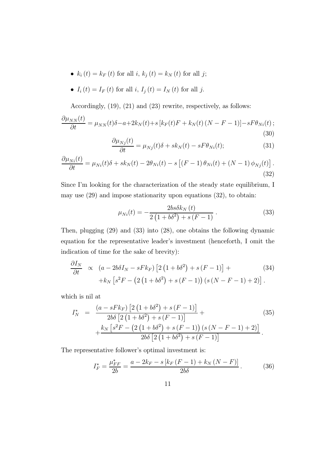- $k_i (t) = k_F (t)$  for all  $i, k_j (t) = k_N (t)$  for all  $j$ ;
- $I_i(t) = I_F(t)$  for all  $i, I_j(t) = I_N(t)$  for all j.

Accordingly, (19), (21) and (23) rewrite, respectively, as follows:

$$
\frac{\partial \mu_{NN}(t)}{\partial t} = \mu_{NN}(t)\delta - a + 2k_N(t) + s[k_F(t)F + k_N(t)(N - F - 1)] - sF\theta_{Ni}(t) \tag{30}
$$

$$
\frac{\partial \mu_{Nj}(t)}{\partial t} = \mu_{Nj}(t)\delta + sk_N(t) - sF\theta_{Ni}(t); \tag{31}
$$

$$
\frac{\partial \mu_{Ni}(t)}{\partial t} = \mu_{Ni}(t)\delta + sk_N(t) - 2\theta_{Ni}(t) - s\left[ (F - 1)\,\theta_{Ni}(t) + (N - 1)\,\phi_{Nj}(t) \right].\tag{32}
$$

Since I'm looking for the characterization of the steady state equilibrium, I may use (29) and impose stationarity upon equations (32), to obtain:

$$
\mu_{Ni}(t) = -\frac{2bs\delta k_N(t)}{2(1+b\delta^2) + s(F-1)}.
$$
\n(33)

Then, plugging (29) and (33) into (28), one obtains the following dynamic equation for the representative leader's investment (henceforth, I omit the indication of time for the sake of brevity):

$$
\frac{\partial I_N}{\partial t} \propto (a - 2b\delta I_N - sFk_F) \left[ 2\left(1 + b\delta^2\right) + s\left(F - 1\right) \right] +
$$
\n
$$
+ k_N \left[ s^2 F - \left(2\left(1 + b\delta^2\right) + s\left(F - 1\right)\right) \left(s\left(N - F - 1\right) + 2\right) \right].
$$
\n(34)

which is nil at

$$
I_N^* = \frac{(a - sFk_F) [2 (1 + b\delta^2) + s (F - 1)]}{2b\delta [2 (1 + b\delta^2) + s (F - 1)]} + + \frac{k_N [s^2 F - (2 (1 + b\delta^2) + s (F - 1)) (s (N - F - 1) + 2)]}{2b\delta [2 (1 + b\delta^2) + s (F - 1)]}.
$$
\n(35)

The representative follower's optimal investment is:

$$
I_F^* = \frac{\mu_{FF}^*}{2b} = \frac{a - 2k_F - s \left[ k_F \left( F - 1 \right) + k_N \left( N - F \right) \right]}{2b\delta}.
$$
 (36)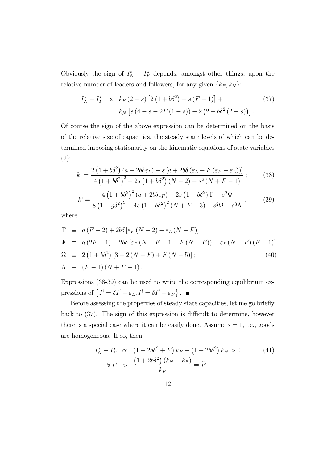Obviously the sign of  $I_N^* - I_F^*$  depends, amongst other things, upon the relative number of leaders and followers, for any given  $\{k_F, k_N\}$ :

$$
I_N^* - I_F^* \propto k_F (2 - s) \left[ 2 \left( 1 + b \delta^2 \right) + s \left( F - 1 \right) \right] +
$$
  
\n
$$
k_N \left[ s \left( 4 - s - 2F \left( 1 - s \right) \right) - 2 \left( 2 + b \delta^2 (2 - s) \right) \right].
$$
\n(37)

Of course the sign of the above expression can be determined on the basis of the relative size of capacities, the steady state levels of which can be determined imposing stationarity on the kinematic equations of state variables (2):

$$
k^{\mathfrak{l}} = \frac{2\left(1+b\delta^{2}\right)\left(a+2b\delta\varepsilon_{L}\right)-s\left[a+2b\delta\left(\varepsilon_{L}+F\left(\varepsilon_{F}-\varepsilon_{L}\right)\right)\right]}{4\left(1+b\delta^{2}\right)^{2}+2s\left(1+b\delta^{2}\right)\left(N-2\right)-s^{2}\left(N+F-1\right)}; \tag{38}
$$

$$
k^{\dagger} = \frac{4\left(1+b\delta^{2}\right)^{2}\left(a+2b\delta\varepsilon_{F}\right)+2s\left(1+b\delta^{2}\right)\Gamma-s^{2}\Psi}{8\left(1+g\delta^{2}\right)^{3}+4s\left(1+b\delta^{2}\right)^{2}\left(N+F-3\right)+s^{2}\Omega-s^{3}\Lambda},
$$
\n(39)

where

$$
\Gamma \equiv a (F - 2) + 2b \delta \left[ \varepsilon_F (N - 2) - \varepsilon_L (N - F) \right];
$$
  
\n
$$
\Psi \equiv a (2F - 1) + 2b \delta \left[ \varepsilon_F (N + F - 1 - F (N - F)) - \varepsilon_L (N - F) (F - 1) \right]
$$
  
\n
$$
\Omega \equiv 2 (1 + b \delta^2) [3 - 2 (N - F) + F (N - 5)];
$$
  
\n
$$
\Lambda \equiv (F - 1) (N + F - 1).
$$
  
\n(40)

Expressions (38-39) can be used to write the corresponding equilibrium expressions of  $\{I^{\mathfrak{l}}=\delta I^{\mathfrak{l}}+\varepsilon_L, I^{\mathfrak{f}}=\delta I^{\mathfrak{f}}+\varepsilon_F\}$ .

Before assessing the properties of steady state capacities, let me go briefly back to (37). The sign of this expression is difficult to determine, however there is a special case where it can be easily done. Assume  $s = 1$ , i.e., goods are homogeneous. If so, then

$$
I_N^* - I_F^* \propto (1 + 2b\delta^2 + F) k_F - (1 + 2b\delta^2) k_N > 0
$$
\n
$$
\forall F > \frac{(1 + 2b\delta^2)(k_N - k_F)}{k_F} \equiv \widehat{F}.
$$
\n(41)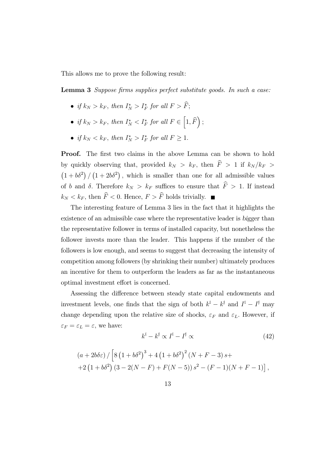This allows me to prove the following result:

Lemma 3 Suppose firms supplies perfect substitute goods. In such a case:

- if  $k_N > k_F$ , then  $I_N^* > I_F^*$  for all  $F > F$ ;
- if  $k_N > k_F$ , then  $I_N^* < I_F^*$  for all  $F \in (1, \widehat{F})$ ;
- if  $k_N < k_F$ , then  $I_N^* > I_F^*$  for all  $F \geq 1$ .

Proof. The first two claims in the above Lemma can be shown to hold by quickly observing that, provided  $k_N > k_F$ , then  $\hat{F} > 1$  if  $k_N / k_F >$  $(1 + b\delta^2) / (1 + 2b\delta^2)$ , which is smaller than one for all admissible values of b and δ. Therefore  $k_N > k_F$  suffices to ensure that  $\hat{F} > 1$ . If instead  $k_N < k_F,$  then  $\widehat{F} < 0.$  Hence,  $F > \widehat{F}$  holds trivially.  $\blacksquare$ 

The interesting feature of Lemma 3 lies in the fact that it highlights the existence of an admissible case where the representative leader is bigger than the representative follower in terms of installed capacity, but nonetheless the follower invests more than the leader. This happens if the number of the followers is low enough, and seems to suggest that decreasing the intensity of competition among followers (by shrinking their number) ultimately produces an incentive for them to outperform the leaders as far as the instantaneous optimal investment effort is concerned.

Assessing the difference between steady state capital endowments and investment levels, one finds that the sign of both  $k<sup>l</sup> - k<sup>f</sup>$  and  $I<sup>l</sup> - I<sup>f</sup>$  may change depending upon the relative size of shocks,  $\varepsilon_F$  and  $\varepsilon_L$ . However, if  $\varepsilon_F = \varepsilon_L = \varepsilon$ , we have:

$$
k^{\mathfrak{l}} - k^{\mathfrak{f}} \propto I^{\mathfrak{l}} - I^{\mathfrak{f}} \propto \tag{42}
$$

$$
(a+2b\delta\varepsilon)/\left[8(1+b\delta^2)^3+4(1+b\delta^2)^2(N+F-3)s+\right.\n+2(1+b\delta^2)(3-2(N-F)+F(N-5))s^2-(F-1)(N+F-1)\right],
$$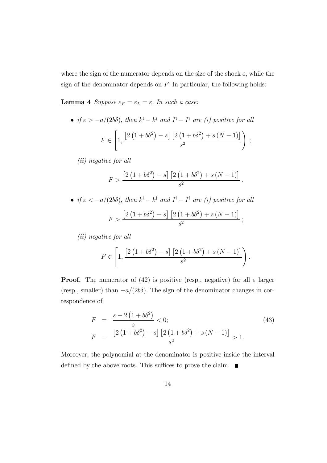where the sign of the numerator depends on the size of the shock  $\varepsilon$ , while the sign of the denominator depends on  $F$ . In particular, the following holds:

**Lemma 4** Suppose  $\varepsilon_F = \varepsilon_L = \varepsilon$ . In such a case:

• if  $\varepsilon > -a/(2b\delta)$ , then  $k^{\mathfrak{l}} - k^{\mathfrak{f}}$  and  $I^{\mathfrak{l}} - I^{\mathfrak{f}}$  are (i) positive for all

$$
F \in \left[1, \frac{\left[2\left(1+b\delta^2\right)-s\right]\left[2\left(1+b\delta^2\right)+s\left(N-1\right)\right]}{s^2}\right);
$$

(ii) negative for all

$$
F > \frac{\left[2\left(1 + b\delta^2\right) - s\right]\left[2\left(1 + b\delta^2\right) + s\left(N - 1\right)\right]}{s^2}.
$$

• if  $\varepsilon < -a/(2b\delta)$ , then  $k^{\mathfrak{f}} - k^{\mathfrak{f}}$  and  $I^{\mathfrak{f}} - I^{\mathfrak{f}}$  are (i) positive for all

$$
F > \frac{\left[2\left(1 + b\delta^2\right) - s\right]\left[2\left(1 + b\delta^2\right) + s\left(N - 1\right)\right]}{s^2};
$$

(ii) negative for all

$$
F \in \left[1, \frac{\left[2\left(1+b\delta^2\right)-s\right]\left[2\left(1+b\delta^2\right)+s\left(N-1\right)\right]}{s^2}\right).
$$

**Proof.** The numerator of (42) is positive (resp., negative) for all  $\varepsilon$  larger (resp., smaller) than  $-a/(2b\delta)$ . The sign of the denominator changes in correspondence of

$$
F = \frac{s - 2\left(1 + b\delta^2\right)}{s} < 0; \tag{43}
$$
\n
$$
F = \frac{\left[2\left(1 + b\delta^2\right) - s\right]\left[2\left(1 + b\delta^2\right) + s\left(N - 1\right)\right]}{s^2} > 1.
$$

Moreover, the polynomial at the denominator is positive inside the interval defined by the above roots. This suffices to prove the claim.  $\blacksquare$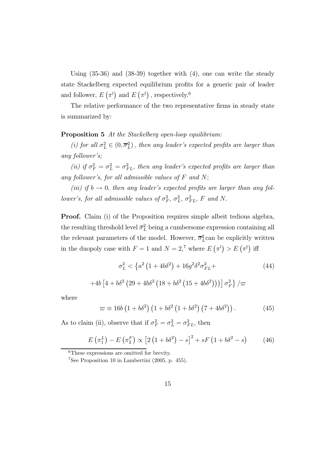Using (35-36) and (38-39) together with (4), one can write the steady state Stackelberg expected equilibrium profits for a generic pair of leader and follower,  $E(\pi^{\mathfrak{f}})$  and  $E(\pi^{\mathfrak{f}})$ , respectively.<sup>6</sup>

The relative performance of the two representative firms in steady state is summarized by:

Proposition 5 At the Stackelberg open-loop equilibrium:

(i) for all  $\sigma_L^2 \in (0, \overline{\sigma}_L^2)$ , then any leader's expected profits are larger than any follower's;

(ii) if  $\sigma_F^2 = \sigma_L^2 = \sigma_{FL}^2$ , then any leader's expected profits are larger than any follower's, for all admissible values of  $F$  and  $N$ ;

(iii) if  $b \rightarrow 0$ , then any leader's expected profits are larger than any follower's, for all admissible values of  $\sigma_F^2$ ,  $\sigma_L^2$ ,  $\sigma_{FL}^2$ , F and N.

Proof. Claim (i) of the Proposition requires simple albeit tedious algebra, the resulting threshold level  $\overline{\sigma}_L^2$  being a cumbersome expression containing all the relevant parameters of the model. However,  $\overline{\sigma}_L^2$  can be explicitly written in the duopoly case with  $F = 1$  and  $N = 2,^7$  where  $E(\pi^{\mathfrak{f}}) > E(\pi^{\mathfrak{f}})$  iff

$$
\sigma_L^2 < \left\{ a^2 \left( 1 + 4b\delta^2 \right) + 16g^2 \delta^2 \sigma_{FL}^2 + \right. \\
\left. + 4b \left[ 4 + b\delta^2 \left( 29 + 4b\delta^2 \left( 18 + b\delta^2 \left( 15 + 4b\delta^2 \right) \right) \right) \right] \sigma_F^2 \right\} / \varpi
$$
\n(44)

where

$$
\varpi \equiv 16b \left(1 + b\delta^2\right) \left(1 + b\delta^2 \left(1 + b\delta^2\right) \left(7 + 4b\delta^2\right)\right). \tag{45}
$$

As to claim (ii), observe that if  $\sigma_F^2 = \sigma_L^2 = \sigma_{FL}^2$ , then

$$
E\left(\pi_1^L\right) - E\left(\pi_2^F\right) \propto \left[2\left(1 + b\delta^2\right) - s\right]^2 + sF\left(1 + b\delta^2 - s\right) \tag{46}
$$

<sup>6</sup>These expressions are omitted for brevity.

<sup>7</sup>See Proposition 10 in Lambertini (2005, p. 455).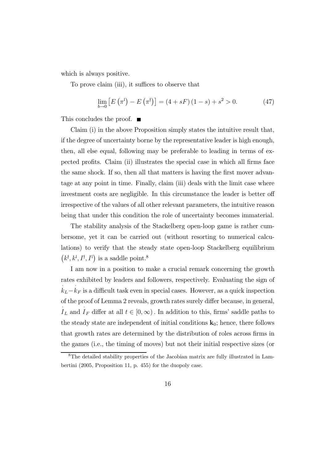which is always positive.

To prove claim (iii), it suffices to observe that

$$
\lim_{b \to 0} \left[ E \left( \pi^{\mathfrak{l}} \right) - E \left( \pi^{\mathfrak{f}} \right) \right] = (4 + sF)(1 - s) + s^2 > 0. \tag{47}
$$

This concludes the proof.  $\blacksquare$ 

Claim (i) in the above Proposition simply states the intuitive result that, if the degree of uncertainty borne by the representative leader is high enough, then, all else equal, following may be preferable to leading in terms of expected profits. Claim (ii) illustrates the special case in which all firms face the same shock. If so, then all that matters is having the first mover advantage at any point in time. Finally, claim (iii) deals with the limit case where investment costs are negligible. In this circumstance the leader is better off irrespective of the values of all other relevant parameters, the intuitive reason being that under this condition the role of uncertainty becomes immaterial.

The stability analysis of the Stackelberg open-loop game is rather cumbersome, yet it can be carried out (without resorting to numerical calculations) to verify that the steady state open-loop Stackelberg equilibrium  $(k^{\dagger}, k^{\dagger}, I^{\dagger}, I^{\dagger})$  is a saddle point.<sup>8</sup>

I am now in a position to make a crucial remark concerning the growth rates exhibited by leaders and followers, respectively. Evaluating the sign of  $k_L - k_F$  is a difficult task even in special cases. However, as a quick inspection of the proof of Lemma 2 reveals, growth rates surely differ because, in general,  $I_L$  and  $I_F$  differ at all  $t \in [0, \infty)$ . In addition to this, firms' saddle paths to the steady state are independent of initial conditions  $\mathbf{k}_0$ ; hence, there follows that growth rates are determined by the distribution of roles across firms in the games (i.e., the timing of moves) but not their initial respective sizes (or

<sup>8</sup>The detailed stability properties of the Jacobian matrix are fully illustrated in Lambertini (2005, Proposition 11, p. 455) for the duopoly case.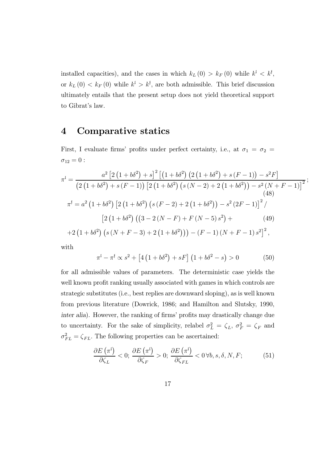installed capacities), and the cases in which  $k_L(0) > k_F(0)$  while  $k^{\dagger} < k^{\dagger}$ , or  $k_L(0) < k_F(0)$  while  $k^{\dagger} > k^{\dagger}$ , are both admissible. This brief discussion ultimately entails that the present setup does not yield theoretical support to Gibrat's law.

## 4 Comparative statics

First, I evaluate firms' profits under perfect certainty, i.e., at  $\sigma_1 = \sigma_2$  =  $\sigma_{12} = 0:$ 

$$
\pi^{\mathfrak{l}} = \frac{a^{2} [2 (1 + b\delta^{2}) + s]^{2} [(1 + b\delta^{2}) (2 (1 + b\delta^{2}) + s (F - 1)) - s^{2} F]}{(2 (1 + b\delta^{2}) + s (F - 1)) [2 (1 + b\delta^{2}) (s (N - 2) + 2 (1 + b\delta^{2})) - s^{2} (N + F - 1)]^{2}};
$$
\n
$$
\pi^{\mathfrak{f}} = a^{2} (1 + b\delta^{2}) [2 (1 + b\delta^{2}) (s (F - 2) + 2 (1 + b\delta^{2})) - s^{2} (2F - 1)]^{2} /
$$
\n
$$
[2 (1 + b\delta^{2}) ((3 - 2 (N - F) + F (N - 5) s^{2}) + (49) + 2 (1 + b\delta^{2}) (s (N + F - 3) + 2 (1 + b\delta^{2}))) - (F - 1) (N + F - 1) s^{2}]^{2},
$$
\n
$$
\dots
$$

with

$$
\pi^{\mathfrak{l}} - \pi^{\mathfrak{f}} \propto s^{2} + [4 (1 + b\delta^{2}) + sF] (1 + b\delta^{2} - s) > 0 \tag{50}
$$

for all admissible values of parameters. The deterministic case yields the well known profit ranking usually associated with games in which controls are strategic substitutes (i.e., best replies are downward sloping), as is well known from previous literature (Dowrick, 1986; and Hamilton and Slutsky, 1990, inter alia). However, the ranking of firms' profits may drastically change due to uncertainty. For the sake of simplicity, relabel  $\sigma_L^2 = \zeta_L$ ,  $\sigma_F^2 = \zeta_F$  and  $\sigma_{FL}^2 = \zeta_{FL}$ . The following properties can be ascertained:

$$
\frac{\partial E(\pi^{\mathfrak{l}})}{\partial \zeta_{L}} < 0; \frac{\partial E(\pi^{\mathfrak{l}})}{\partial \zeta_{F}} > 0; \frac{\partial E(\pi^{\mathfrak{l}})}{\partial \zeta_{FL}} < 0 \,\forall b, s, \delta, N, F; \tag{51}
$$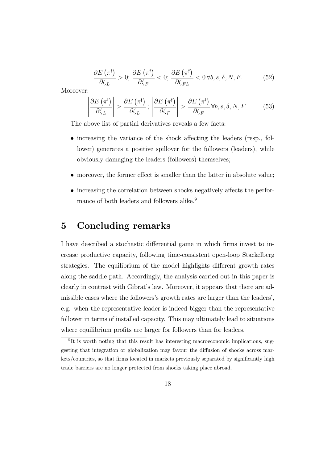$$
\frac{\partial E\left(\pi^{\mathfrak{f}}\right)}{\partial \zeta_{L}} > 0; \ \frac{\partial E\left(\pi^{\mathfrak{f}}\right)}{\partial \zeta_{F}} < 0; \ \frac{\partial E\left(\pi^{\mathfrak{f}}\right)}{\partial \zeta_{FL}} < 0 \ \forall b, s, \delta, N, F. \tag{52}
$$

Moreover:

$$
\left| \frac{\partial E(\pi^{\mathfrak{l}})}{\partial \zeta_{L}} \right| > \frac{\partial E(\pi^{\mathfrak{f}})}{\partial \zeta_{L}} \, ; \, \left| \frac{\partial E(\pi^{\mathfrak{f}})}{\partial \zeta_{F}} \right| > \frac{\partial E(\pi^{\mathfrak{l}})}{\partial \zeta_{F}} \, \forall b, s, \delta, N, F. \tag{53}
$$

The above list of partial derivatives reveals a few facts:

- increasing the variance of the shock affecting the leaders (resp., follower) generates a positive spillover for the followers (leaders), while obviously damaging the leaders (followers) themselves;
- moreover, the former effect is smaller than the latter in absolute value;
- increasing the correlation between shocks negatively affects the performance of both leaders and followers alike.<sup>9</sup>

#### 5 Concluding remarks

I have described a stochastic differential game in which firms invest to increase productive capacity, following time-consistent open-loop Stackelberg strategies. The equilibrium of the model highlights different growth rates along the saddle path. Accordingly, the analysis carried out in this paper is clearly in contrast with Gibrat's law. Moreover, it appears that there are admissible cases where the followers's growth rates are larger than the leaders', e.g. when the representative leader is indeed bigger than the representative follower in terms of installed capacity. This may ultimately lead to situations where equilibrium profits are larger for followers than for leaders.

<sup>&</sup>lt;sup>9</sup>It is worth noting that this result has interesting macroeconomic implications, suggesting that integration or globalization may favour the diffusion of shocks across markets/countries, so that firms located in markets previously separated by significantly high trade barriers are no longer protected from shocks taking place abroad.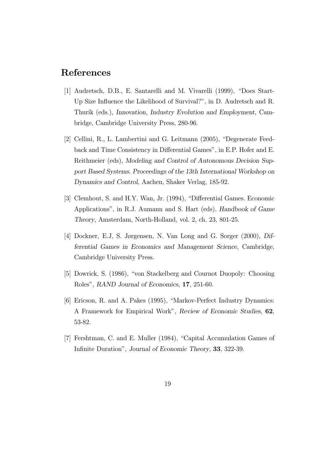#### References

- [1] Audretsch, D.B., E. Santarelli and M. Vivarelli (1999), "Does Start-Up Size Influence the Likelihood of Survival?", in D. Audretsch and R. Thurik (eds.), Innovation, Industry Evolution and Employment, Cambridge, Cambridge University Press, 280-96.
- [2] Cellini, R., L. Lambertini and G. Leitmann (2005), "Degenerate Feedback and Time Consistency in Differential Games", in E.P. Hofer and E. Reithmeier (eds), Modeling and Control of Autonomous Decision Support Based Systems. Proceedings of the 13th International Workshop on Dynamics and Control, Aachen, Shaker Verlag, 185-92.
- [3] Clemhout, S. and H.Y. Wan, Jr. (1994), "Differential Games. Economic Applications", in R.J. Aumann and S. Hart (eds), Handbook of Game Theory, Amsterdam, North-Holland, vol. 2, ch. 23, 801-25.
- [4] Dockner, E.J, S. Jørgensen, N. Van Long and G. Sorger (2000), Differential Games in Economics and Management Science, Cambridge, Cambridge University Press.
- [5] Dowrick, S. (1986), "von Stackelberg and Cournot Duopoly: Choosing Roles", RAND Journal of Economics, 17, 251-60.
- [6] Ericson, R. and A. Pakes (1995), "Markov-Perfect Industry Dynamics: A Framework for Empirical Work", Review of Economic Studies, 62, 53-82.
- [7] Fershtman, C. and E. Muller (1984), "Capital Accumulation Games of Infinite Duration", Journal of Economic Theory, 33, 322-39.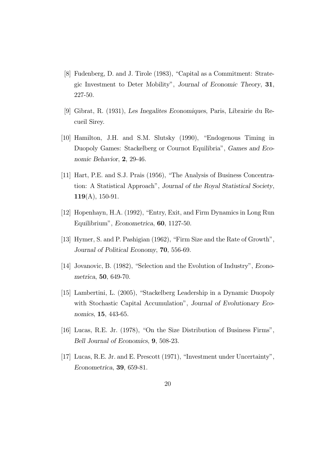- [8] Fudenberg, D. and J. Tirole (1983), "Capital as a Commitment: Strategic Investment to Deter Mobility", Journal of Economic Theory, 31, 227-50.
- [9] Gibrat, R. (1931), Les Inegalites Economiques, Paris, Librairie du Recueil Sirey.
- [10] Hamilton, J.H. and S.M. Slutsky (1990), "Endogenous Timing in Duopoly Games: Stackelberg or Cournot Equilibria", Games and Economic Behavior, 2, 29-46.
- [11] Hart, P.E. and S.J. Prais (1956), "The Analysis of Business Concentration: A Statistical Approach", Journal of the Royal Statistical Society,  $119(A), 150-91.$
- [12] Hopenhayn, H.A. (1992), "Entry, Exit, and Firm Dynamics in Long Run Equilibrium", Econometrica, 60, 1127-50.
- [13] Hymer, S. and P. Pashigian (1962), "Firm Size and the Rate of Growth", Journal of Political Economy, 70, 556-69.
- [14] Jovanovic, B. (1982), "Selection and the Evolution of Industry", Econometrica, 50, 649-70.
- [15] Lambertini, L. (2005), "Stackelberg Leadership in a Dynamic Duopoly with Stochastic Capital Accumulation", Journal of Evolutionary Economics, 15, 443-65.
- [16] Lucas, R.E. Jr. (1978), "On the Size Distribution of Business Firms", Bell Journal of Economics, 9, 508-23.
- [17] Lucas, R.E. Jr. and E. Prescott (1971), "Investment under Uncertainty", Econometrica, 39, 659-81.